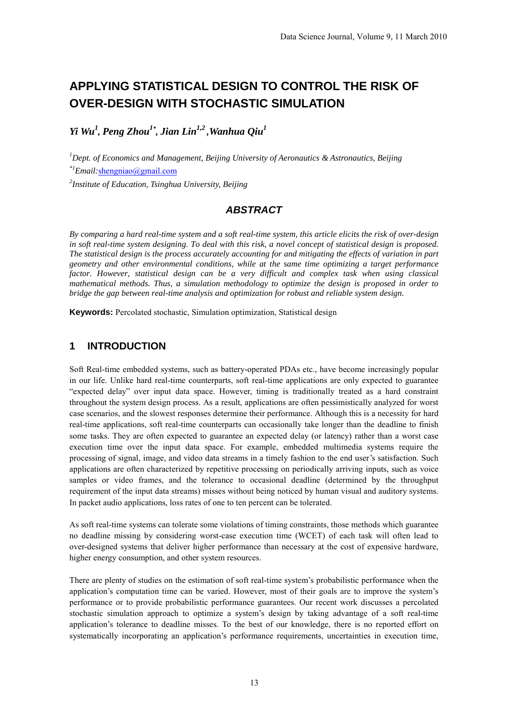# **APPLYING STATISTICAL DESIGN TO CONTROL THE RISK OF OVER-DESIGN WITH STOCHASTIC SIMULATION**

*Yi Wu<sup>1</sup> , Peng Zhou1\* , Jian Lin1,2 ,Wanhua Qiu1*

*1 Dept. of Economics and Management, Beijing University of Aeronautics & Astronautics, Beijing \*1Email:*shengniao@gmail.com

*2 Institute of Education, Tsinghua University, Beijing*

### *ABSTRACT*

*By comparing a hard real-time system and a soft real-time system, this article elicits the risk of over-design in soft real-time system designing. To deal with this risk, a novel concept of statistical design is proposed. The statistical design is the process accurately accounting for and mitigating the effects of variation in part geometry and other environmental conditions, while at the same time optimizing a target performance factor. However, statistical design can be a very difficult and complex task when using classical mathematical methods. Thus, a simulation methodology to optimize the design is proposed in order to bridge the gap between real-time analysis and optimization for robust and reliable system design.*

**Keywords:** Percolated stochastic, Simulation optimization, Statistical design

#### **1 INTRODUCTION**

Soft Real-time embedded systems, such as battery-operated PDAs etc., have become increasingly popular in our life. Unlike hard real-time counterparts, soft real-time applications are only expected to guarantee "expected delay" over input data space. However, timing is traditionally treated as a hard constraint throughout the system design process. As a result, applications are often pessimistically analyzed for worst case scenarios, and the slowest responses determine their performance. Although this is a necessity for hard real-time applications, soft real-time counterparts can occasionally take longer than the deadline to finish some tasks. They are often expected to guarantee an expected delay (or latency) rather than a worst case execution time over the input data space. For example, embedded multimedia systems require the processing of signal, image, and video data streams in a timely fashion to the end user's satisfaction. Such applications are often characterized by repetitive processing on periodically arriving inputs, such as voice samples or video frames, and the tolerance to occasional deadline (determined by the throughput requirement of the input data streams) misses without being noticed by human visual and auditory systems. In packet audio applications, loss rates of one to ten percent can be tolerated.

As soft real-time systems can tolerate some violations of timing constraints, those methods which guarantee no deadline missing by considering worst-case execution time (WCET) of each task will often lead to over-designed systems that deliver higher performance than necessary at the cost of expensive hardware, higher energy consumption, and other system resources.

There are plenty of studies on the estimation of soft real-time system's probabilistic performance when the application's computation time can be varied. However, most of their goals are to improve the system's performance or to provide probabilistic performance guarantees. Our recent work discusses a percolated stochastic simulation approach to optimize a system's design by taking advantage of a soft real-time application's tolerance to deadline misses. To the best of our knowledge, there is no reported effort on systematically incorporating an application's performance requirements, uncertainties in execution time,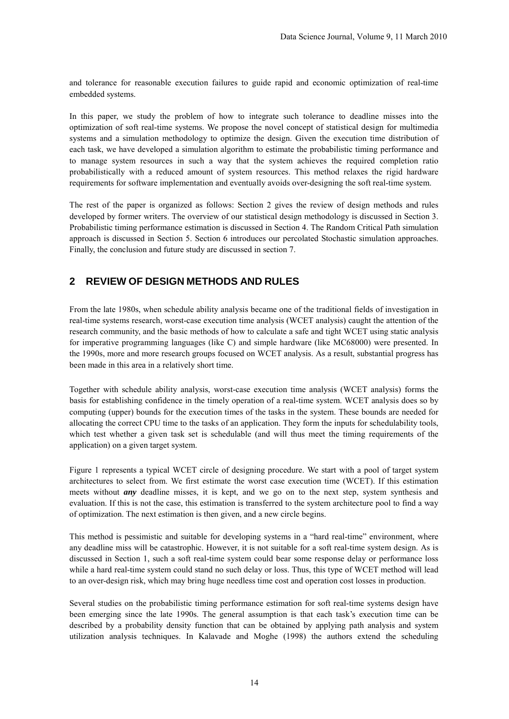and tolerance for reasonable execution failures to guide rapid and economic optimization of real-time embedded systems.

In this paper, we study the problem of how to integrate such tolerance to deadline misses into the optimization of soft real-time systems. We propose the novel concept of statistical design for multimedia systems and a simulation methodology to optimize the design. Given the execution time distribution of each task, we have developed a simulation algorithm to estimate the probabilistic timing performance and to manage system resources in such a way that the system achieves the required completion ratio probabilistically with a reduced amount of system resources. This method relaxes the rigid hardware requirements for software implementation and eventually avoids over-designing the soft real-time system.

The rest of the paper is organized as follows: Section 2 gives the review of design methods and rules developed by former writers. The overview of our statistical design methodology is discussed in Section 3. Probabilistic timing performance estimation is discussed in Section 4. The Random Critical Path simulation approach is discussed in Section 5. Section 6 introduces our percolated Stochastic simulation approaches. Finally, the conclusion and future study are discussed in section 7.

## **2 REVIEW OF DESIGN METHODS AND RULES**

From the late 1980s, when schedule ability analysis became one of the traditional fields of investigation in real-time systems research, worst-case execution time analysis (WCET analysis) caught the attention of the research community, and the basic methods of how to calculate a safe and tight WCET using static analysis for imperative programming languages (like C) and simple hardware (like MC68000) were presented. In the 1990s, more and more research groups focused on WCET analysis. As a result, substantial progress has been made in this area in a relatively short time.

Together with schedule ability analysis, worst-case execution time analysis (WCET analysis) forms the basis for establishing confidence in the timely operation of a real-time system. WCET analysis does so by computing (upper) bounds for the execution times of the tasks in the system. These bounds are needed for allocating the correct CPU time to the tasks of an application. They form the inputs for schedulability tools, which test whether a given task set is schedulable (and will thus meet the timing requirements of the application) on a given target system.

Figure 1 represents a typical WCET circle of designing procedure. We start with a pool of target system architectures to select from. We first estimate the worst case execution time (WCET). If this estimation meets without *any* deadline misses, it is kept, and we go on to the next step, system synthesis and evaluation. If this is not the case, this estimation is transferred to the system architecture pool to find a way of optimization. The next estimation is then given, and a new circle begins.

This method is pessimistic and suitable for developing systems in a "hard real-time" environment, where any deadline miss will be catastrophic. However, it is not suitable for a soft real-time system design. As is discussed in Section 1, such a soft real-time system could bear some response delay or performance loss while a hard real-time system could stand no such delay or loss. Thus, this type of WCET method will lead to an over-design risk, which may bring huge needless time cost and operation cost losses in production.

Several studies on the probabilistic timing performance estimation for soft real-time systems design have been emerging since the late 1990s. The general assumption is that each task's execution time can be described by a probability density function that can be obtained by applying path analysis and system utilization analysis techniques. In Kalavade and Moghe (1998) the authors extend the scheduling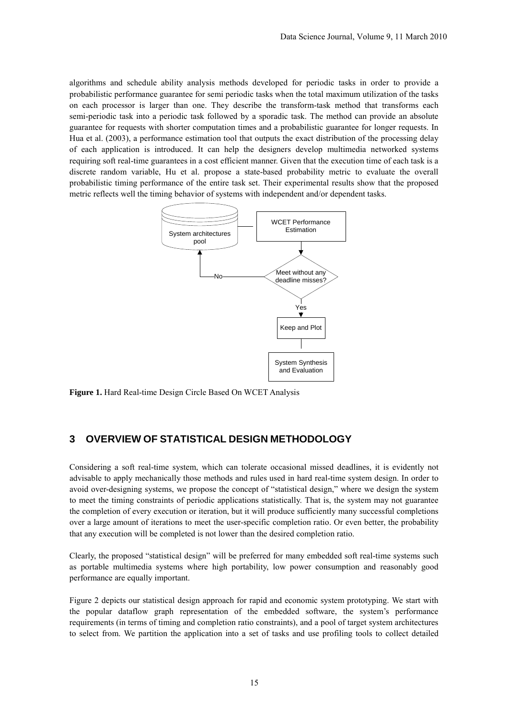algorithms and schedule ability analysis methods developed for periodic tasks in order to provide a probabilistic performance guarantee for semi periodic tasks when the total maximum utilization of the tasks on each processor is larger than one. They describe the transform-task method that transforms each semi-periodic task into a periodic task followed by a sporadic task. The method can provide an absolute guarantee for requests with shorter computation times and a probabilistic guarantee for longer requests. In Hua et al. (2003), a performance estimation tool that outputs the exact distribution of the processing delay of each application is introduced. It can help the designers develop multimedia networked systems requiring soft real-time guarantees in a cost efficient manner. Given that the execution time of each task is a discrete random variable, Hu et al. propose a state-based probability metric to evaluate the overall probabilistic timing performance of the entire task set. Their experimental results show that the proposed metric reflects well the timing behavior of systems with independent and/or dependent tasks.



**Figure 1.** Hard Real-time Design Circle Based On WCET Analysis

## **3 OVERVIEW OF STATISTICAL DESIGN METHODOLOGY**

Considering a soft real-time system, which can tolerate occasional missed deadlines, it is evidently not advisable to apply mechanically those methods and rules used in hard real-time system design. In order to avoid over-designing systems, we propose the concept of "statistical design," where we design the system to meet the timing constraints of periodic applications statistically. That is, the system may not guarantee the completion of every execution or iteration, but it will produce sufficiently many successful completions over a large amount of iterations to meet the user-specific completion ratio. Or even better, the probability that any execution will be completed is not lower than the desired completion ratio.

Clearly, the proposed "statistical design" will be preferred for many embedded soft real-time systems such as portable multimedia systems where high portability, low power consumption and reasonably good performance are equally important.

Figure 2 depicts our statistical design approach for rapid and economic system prototyping. We start with the popular dataflow graph representation of the embedded software, the system's performance requirements (in terms of timing and completion ratio constraints), and a pool of target system architectures to select from. We partition the application into a set of tasks and use profiling tools to collect detailed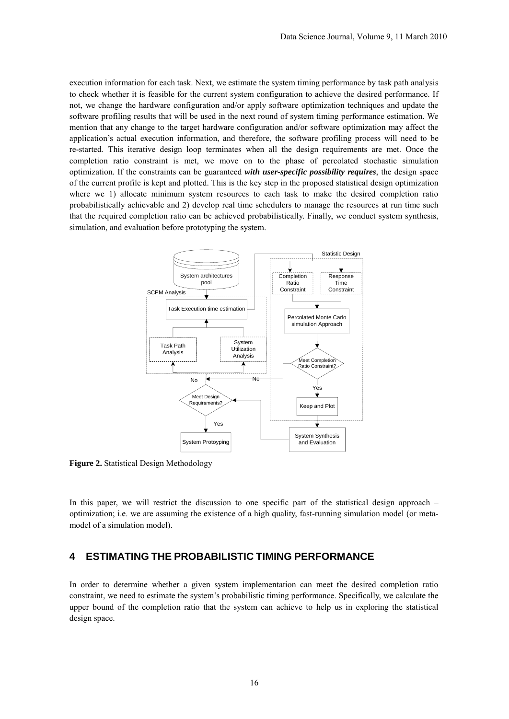execution information for each task. Next, we estimate the system timing performance by task path analysis to check whether it is feasible for the current system configuration to achieve the desired performance. If not, we change the hardware configuration and/or apply software optimization techniques and update the software profiling results that will be used in the next round of system timing performance estimation. We mention that any change to the target hardware configuration and/or software optimization may affect the application's actual execution information, and therefore, the software profiling process will need to be re-started. This iterative design loop terminates when all the design requirements are met. Once the completion ratio constraint is met, we move on to the phase of percolated stochastic simulation optimization. If the constraints can be guaranteed *with user-specific possibility requires*, the design space of the current profile is kept and plotted. This is the key step in the proposed statistical design optimization where we 1) allocate minimum system resources to each task to make the desired completion ratio probabilistically achievable and 2) develop real time schedulers to manage the resources at run time such that the required completion ratio can be achieved probabilistically. Finally, we conduct system synthesis, simulation, and evaluation before prototyping the system.



**Figure 2.** Statistical Design Methodology

In this paper, we will restrict the discussion to one specific part of the statistical design approach – optimization; i.e. we are assuming the existence of a high quality, fast-running simulation model (or metamodel of a simulation model).

#### **4 ESTIMATING THE PROBABILISTIC TIMING PERFORMANCE**

In order to determine whether a given system implementation can meet the desired completion ratio constraint, we need to estimate the system's probabilistic timing performance. Specifically, we calculate the upper bound of the completion ratio that the system can achieve to help us in exploring the statistical design space.